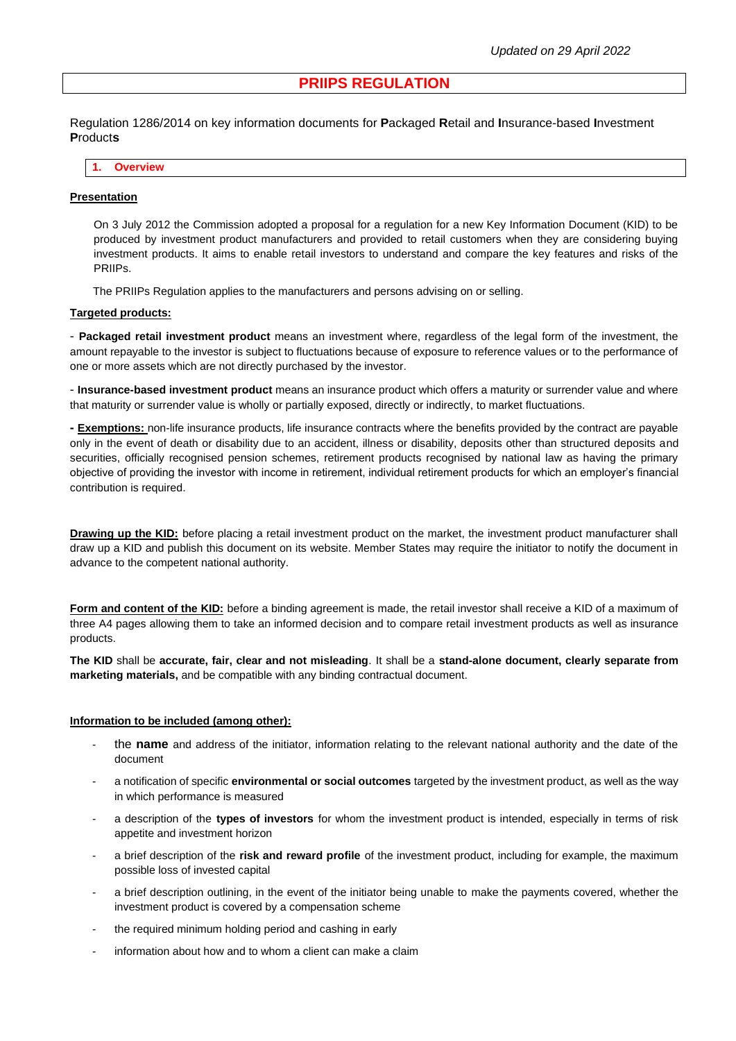# **PRIIPS REGULATION**

Regulation 1286/2014 on key information documents for **P**ackaged **R**etail and **I**nsurance-based **I**nvestment **P**roduct**s**

**1. Overview**

#### **Presentation**

On 3 July 2012 the Commission adopted a proposal for a regulation for a new Key Information Document (KID) to be produced by investment product manufacturers and provided to retail customers when they are considering buying investment products. It aims to enable retail investors to understand and compare the key features and risks of the PRIIPs.

The PRIIPs Regulation applies to the manufacturers and persons advising on or selling.

### **Targeted products:**

- **Packaged retail investment product** means an investment where, regardless of the legal form of the investment, the amount repayable to the investor is subject to fluctuations because of exposure to reference values or to the performance of one or more assets which are not directly purchased by the investor.

- **Insurance-based investment product** means an insurance product which offers a maturity or surrender value and where that maturity or surrender value is wholly or partially exposed, directly or indirectly, to market fluctuations.

**- Exemptions:** non-life insurance products, life insurance contracts where the benefits provided by the contract are payable only in the event of death or disability due to an accident, illness or disability, deposits other than structured deposits and securities, officially recognised pension schemes, retirement products recognised by national law as having the primary objective of providing the investor with income in retirement, individual retirement products for which an employer's financial contribution is required.

**Drawing up the KID:** before placing a retail investment product on the market, the investment product manufacturer shall draw up a KID and publish this document on its website. Member States may require the initiator to notify the document in advance to the competent national authority.

**Form and content of the KID:** before a binding agreement is made, the retail investor shall receive a KID of a maximum of three A4 pages allowing them to take an informed decision and to compare retail investment products as well as insurance products.

**The KID** shall be **accurate, fair, clear and not misleading**. It shall be a **stand-alone document, clearly separate from marketing materials,** and be compatible with any binding contractual document.

#### **Information to be included (among other):**

- the **name** and address of the initiator, information relating to the relevant national authority and the date of the document
- a notification of specific **environmental or social outcomes** targeted by the investment product, as well as the way in which performance is measured
- a description of the **types of investors** for whom the investment product is intended, especially in terms of risk appetite and investment horizon
- a brief description of the **risk and reward profile** of the investment product, including for example, the maximum possible loss of invested capital
- a brief description outlining, in the event of the initiator being unable to make the payments covered, whether the investment product is covered by a compensation scheme
- the required minimum holding period and cashing in early
- information about how and to whom a client can make a claim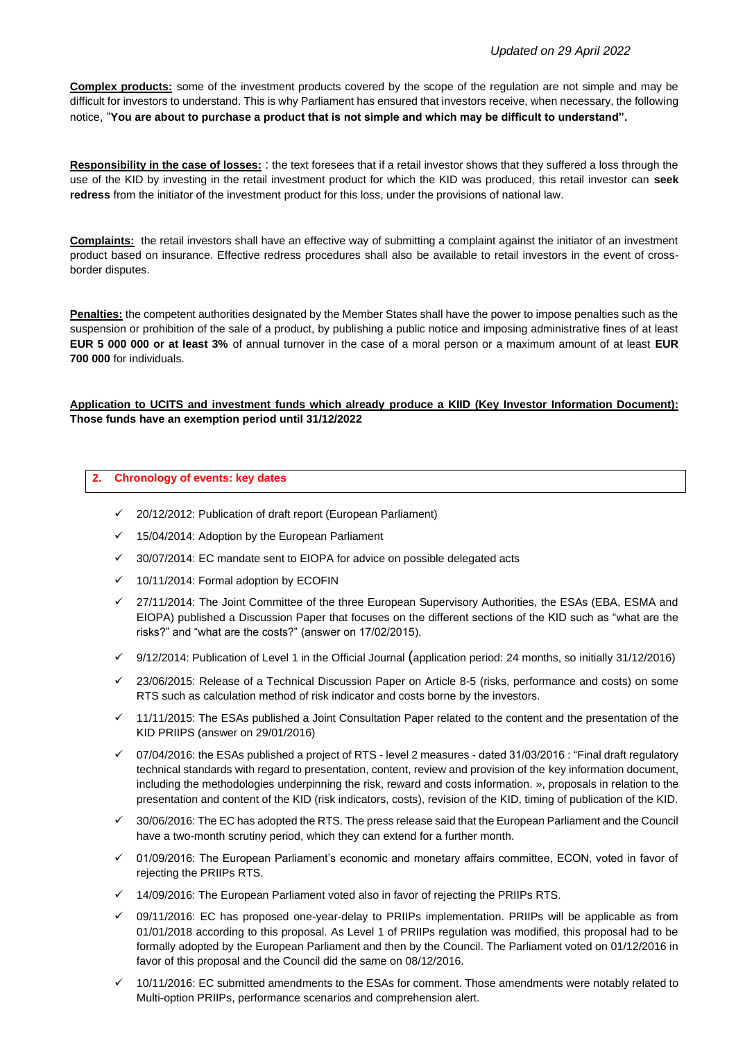**Complex products:** some of the investment products covered by the scope of the regulation are not simple and may be difficult for investors to understand. This is why Parliament has ensured that investors receive, when necessary, the following notice, "**You are about to purchase a product that is not simple and which may be difficult to understand".**

**Responsibility in the case of losses:** : the text foresees that if a retail investor shows that they suffered a loss through the use of the KID by investing in the retail investment product for which the KID was produced, this retail investor can **seek redress** from the initiator of the investment product for this loss, under the provisions of national law.

**Complaints:** the retail investors shall have an effective way of submitting a complaint against the initiator of an investment product based on insurance. Effective redress procedures shall also be available to retail investors in the event of crossborder disputes.

**Penalties:** the competent authorities designated by the Member States shall have the power to impose penalties such as the suspension or prohibition of the sale of a product, by publishing a public notice and imposing administrative fines of at least **EUR 5 000 000 or at least 3%** of annual turnover in the case of a moral person or a maximum amount of at least **EUR 700 000** for individuals.

# **Application to UCITS and investment funds which already produce a KIID (Key Investor Information Document): Those funds have an exemption period until 31/12/2022**

### **2. Chronology of events: key dates**

- ✓ 20/12/2012: Publication of draft report (European Parliament)
- $\checkmark$  15/04/2014: Adoption by the European Parliament
- ✓ 30/07/2014: EC mandate sent to EIOPA for advice on possible delegated acts
- ✓ 10/11/2014: Formal adoption by ECOFIN
- ✓ 27/11/2014: The Joint Committee of the three European Supervisory Authorities, the ESAs (EBA, ESMA and EIOPA) published a Discussion Paper that focuses on the different sections of the KID such as "what are the risks?" and "what are the costs?" (answer on 17/02/2015).
- 9/12/2014: Publication of Level 1 in the Official Journal (application period: 24 months, so initially 31/12/2016)
- 23/06/2015: Release of a Technical Discussion Paper on Article 8-5 (risks, performance and costs) on some RTS such as calculation method of risk indicator and costs borne by the investors.
- 11/11/2015: The ESAs published a Joint Consultation Paper related to the content and the presentation of the KID PRIIPS (answer on 29/01/2016)
- ✓ 07/04/2016: the ESAs published a project of RTS level 2 measures dated 31/03/2016 : ["Final draft regulatory](http://www.afg.asso.fr/index.php?option=com_docman&task=doc_download&gid=4982&Itemid=144&lang=fr)  [technical standards with regard to presentation, content, review and provision of the](http://www.afg.asso.fr/index.php?option=com_docman&task=doc_download&gid=4982&Itemid=144&lang=fr) key information document, including the methodologies [underpinning the risk, reward and costs information.](http://www.afg.asso.fr/index.php?option=com_docman&task=doc_download&gid=4982&Itemid=144&lang=fr) », proposals in relation to the presentation and content of the KID (risk indicators, costs), revision of the KID, timing of publication of the KID.
- ✓ 30/06/2016: The EC has adopted the RTS. The press release said that the European Parliament and the Council have a two-month scrutiny period, which they can extend for a further month.
- 01/09/2016: The European Parliament's economic and monetary affairs committee, ECON, voted in favor of rejecting the PRIIPs RTS.
- $\checkmark$  14/09/2016: The European Parliament voted also in favor of rejecting the PRIIPs RTS.
- $\check{\phantom{1}}$  09/11/2016: EC has proposed one-year-delay to PRIIPs implementation. PRIIPs will be applicable as from 01/01/2018 according to this proposal. As Level 1 of PRIIPs regulation was modified, this proposal had to be formally adopted by the European Parliament and then by the Council. The Parliament voted on 01/12/2016 in favor of this proposal and the Council did the same on 08/12/2016.
- ✓ 10/11/2016: EC submitted amendments to the ESAs for comment. Those amendments were notably related to Multi-option PRIIPs, performance scenarios and comprehension alert.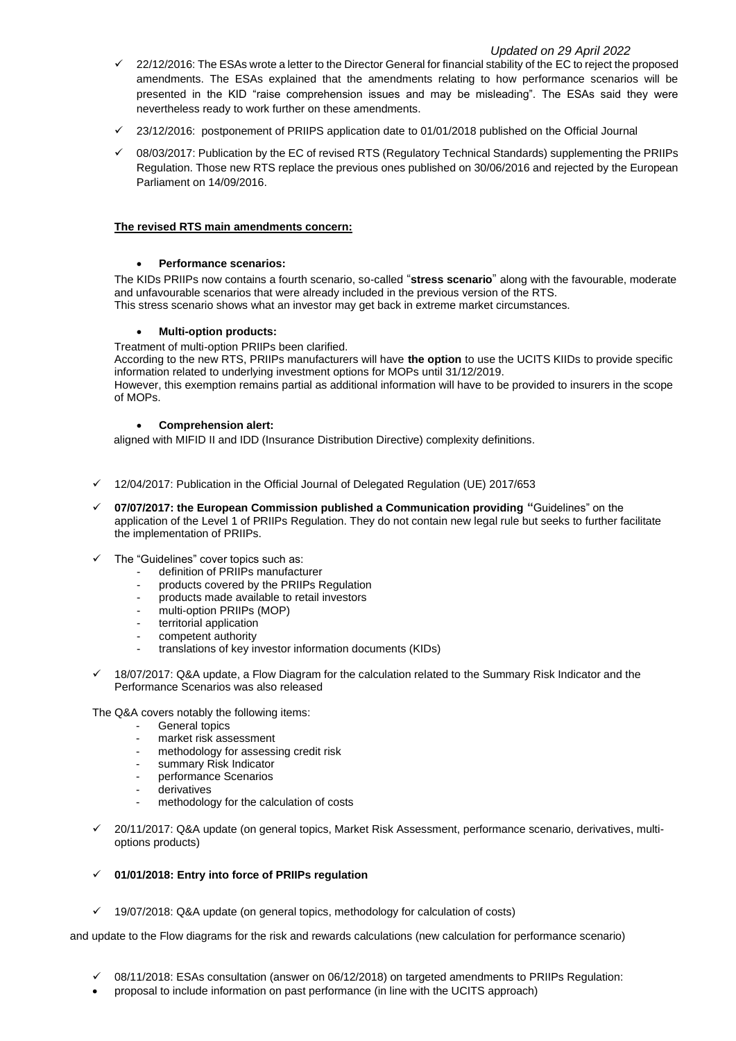# *Updated on 29 April 2022*

- $\checkmark$  22/12/2016: The ESAs wrote a letter to the Director General for financial stability of the EC to reject the proposed amendments. The ESAs explained that the amendments relating to how performance scenarios will be presented in the KID "raise comprehension issues and may be misleading". The ESAs said they were nevertheless ready to work further on these amendments.
- $\checkmark$  23/12/2016: postponement of PRIIPS application date to 01/01/2018 published on the Official Journal
- 08/03/2017: Publication by the EC of revised RTS (Regulatory Technical Standards) supplementing the PRIIPs Regulation. Those new RTS replace the previous ones published on 30/06/2016 and rejected by the European Parliament on 14/09/2016.

## **The revised RTS main amendments concern:**

# • **Performance scenarios:**

The KIDs PRIIPs now contains a fourth scenario, so-called "**stress scenario**" along with the favourable, moderate and unfavourable scenarios that were already included in the previous version of the RTS. This stress scenario shows what an investor may get back in extreme market circumstances.

### • **Multi-option products:**

Treatment of multi-option PRIIPs been clarified.

According to the new RTS, PRIIPs manufacturers will have **the option** to use the UCITS KIIDs to provide specific information related to underlying investment options for MOPs until 31/12/2019.

However, this exemption remains partial as additional information will have to be provided to insurers in the scope of MOPs.

### • **Comprehension alert:**

aligned with MIFID II and IDD (Insurance Distribution Directive) complexity definitions.

- $\checkmark$  12/04/2017: Publication in the Official Journal of Delegated Regulation (UE) 2017/653
- ✓ **07/07/2017: the European Commission published a Communication providing "**Guidelines" on the application of the Level 1 of PRIIPs Regulation. They do not contain new legal rule but seeks to further facilitate the implementation of PRIIPs.
- The "Guidelines" cover topics such as:
	- definition of PRIIPs manufacturer
	- products covered by the PRIIPs Regulation
	- products made available to retail investors
	- multi-option PRIIPs (MOP)
	- territorial application
	- competent authority
	- translations of key investor information documents (KIDs)
- ✓ 18/07/2017: Q&A update, a Flow Diagram for the calculation related to the Summary Risk Indicator and the Performance Scenarios was also released

The Q&A covers notably the following items:

- General topics
- market risk assessment
- methodology for assessing credit risk
- summary Risk Indicator
- performance Scenarios
- derivatives
- methodology for the calculation of costs
- 20/11/2017: Q&A update (on general topics, Market Risk Assessment, performance scenario, derivatives, multioptions products)
- ✓ **01/01/2018: Entry into force of PRIIPs regulation**
- ✓ 19/07/2018: Q&A update (on general topics, methodology for calculation of costs)

and update to the Flow diagrams for the risk and rewards calculations (new calculation for performance scenario)

- ✓ 08/11/2018: ESAs consultation (answer on 06/12/2018) on targeted amendments to PRIIPs Regulation:
- proposal to include information on past performance (in line with the UCITS approach)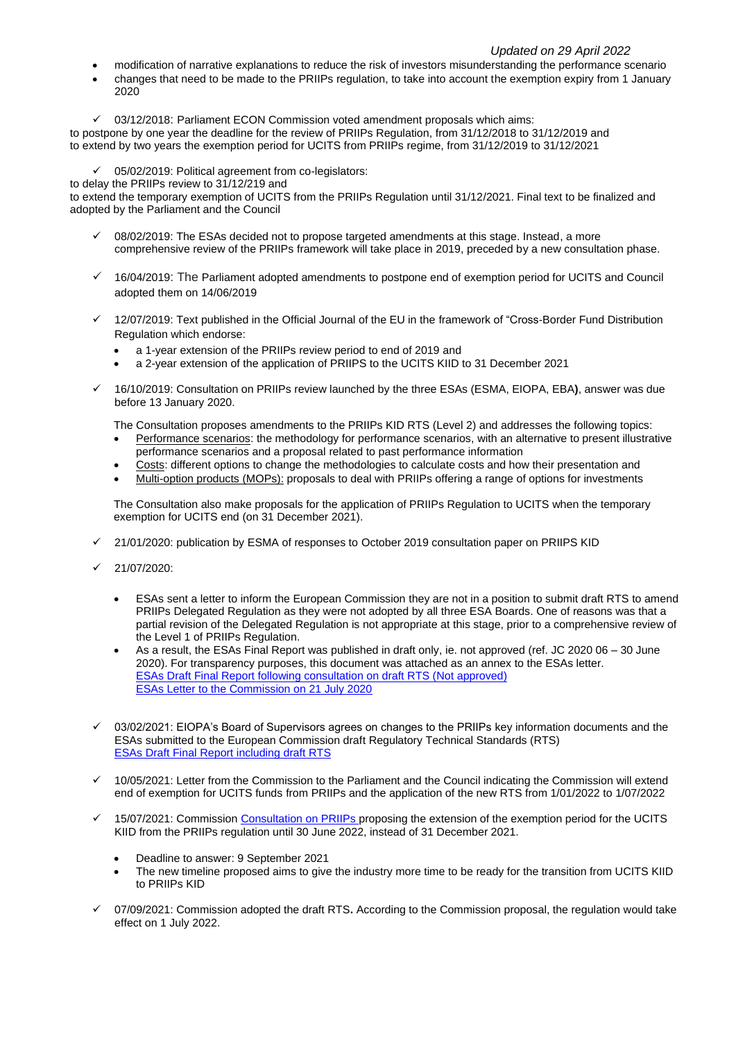# *Updated on 29 April 2022*

- modification of narrative explanations to reduce the risk of investors misunderstanding the performance scenario
- changes that need to be made to the PRIIPs regulation, to take into account the exemption expiry from 1 January 2020
- $\checkmark$  03/12/2018: Parliament ECON Commission voted amendment proposals which aims:

to postpone by one year the deadline for the review of PRIIPs Regulation, from 31/12/2018 to 31/12/2019 and to extend by two years the exemption period for UCITS from PRIIPs regime, from 31/12/2019 to 31/12/2021

✓ 05/02/2019: Political agreement from co-legislators:

to delay the PRIIPs review to 31/12/219 and

to extend the temporary exemption of UCITS from the PRIIPs Regulation until 31/12/2021. Final text to be finalized and adopted by the Parliament and the Council

- 08/02/2019: The ESAs decided not to propose targeted amendments at this stage. Instead, a more comprehensive review of the PRIIPs framework will take place in 2019, preceded by a new consultation phase.
- ✓ 16/04/2019: The Parliament adopted amendments to postpone end of exemption period for UCITS and Council adopted them on 14/06/2019
- 12/07/2019: Text published in the Official Journal of the EU in the framework of "Cross-Border Fund Distribution Regulation which endorse:
	- a 1-year extension of the PRIIPs review period to end of 2019 and
	- a 2-year extension of the application of PRIIPS to the UCITS KIID to 31 December 2021
- ✓ 16/10/2019: Consultation on PRIIPs review launched by the three ESAs (ESMA, EIOPA, EBA**)**, answer was due before 13 January 2020.
	- The Consultation proposes amendments to the PRIIPs KID RTS (Level 2) and addresses the following topics:
	- Performance scenarios: the methodology for performance scenarios, with an alternative to present illustrative performance scenarios and a proposal related to past performance information
	- Costs: different options to change the methodologies to calculate costs and how their presentation and
	- Multi-option products (MOPs): proposals to deal with PRIIPs offering a range of options for investments

The Consultation also make proposals for the application of PRIIPs Regulation to UCITS when the temporary exemption for UCITS end (on 31 December 2021).

- 21/01/2020: publication by ESMA of responses to October 2019 consultation paper on PRIIPS KID
- ✓ 21/07/2020:
	- ESAs sent a letter to inform the European Commission they are not in a position to submit draft RTS to amend PRIIPs Delegated Regulation as they were not adopted by all three ESA Boards. One of reasons was that a partial revision of the Delegated Regulation is not appropriate at this stage, prior to a comprehensive review of the Level 1 of PRIIPs Regulation.
	- As a result, the ESAs Final Report was published in draft only, ie. not approved (ref. JC 2020 06 30 June 2020). For transparency purposes, this document was attached as an annex to the ESAs letter. [ESAs Draft Final Report following consultation on draft RTS \(Not approved\)](https://www.eiopa.europa.eu/sites/default/files/publications/letters/annex-to-letter-priips-rts-draft-report.pdf) [ESAs Letter to the Commission on 21 July 2020](https://www.eiopa.europa.eu/sites/default/files/publications/letters/2020-07-20-esas-letter-to-berriga-on-outcome-of-esa-review-of-priips-delegated-regulation.pdf)
- $\check{\phantom{1}}$  03/02/2021: EIOPA's Board of Supervisors agrees on changes to the PRIIPs key information documents and the ESAs submitted to the European Commission draft Regulatory Technical Standards (RTS) ESAs Draft Final Report including draft RTS
- ✓ 10/05/2021: Letter from the Commission to the Parliament and the Council indicating the Commission will extend end of exemption for UCITS funds from PRIIPs and the application of the new RTS from 1/01/2022 to 1/07/2022
- 15/07/2021: Commission Consultation on PRIIPs proposing the extension of the exemption period for the UCITS KIID from the PRIIPs regulation until 30 June 2022, instead of 31 December 2021.
	- Deadline to answer: 9 September 2021
	- The new timeline proposed aims to give the industry more time to be ready for the transition from UCITS KIID to PRIIPs KID
- ✓ 07/09/2021: Commission adopted the draft RTS**.** According to the Commission proposal, the regulation would take effect on 1 July 2022.